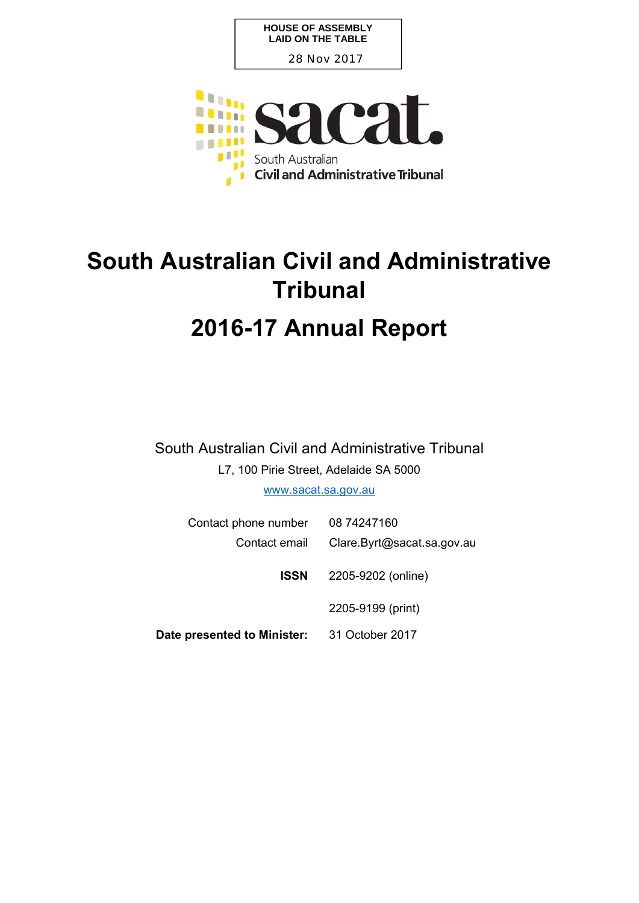**HOUSE OF ASSEMBLY LAID ON THE TABLE**

28 Nov 2017



# **South Australian Civil and Administrative Tribunal 2016-17 Annual Report**

South Australian Civil and Administrative Tribunal

L7, 100 Pirie Street, Adelaide SA 5000

www.sacat.sa.gov.au

| Contact phone number        | 08 74247160                |
|-----------------------------|----------------------------|
| Contact email               | Clare.Byrt@sacat.sa.gov.au |
| ISSN                        | 2205-9202 (online)         |
|                             | 2205-9199 (print)          |
| Date presented to Minister: | 31 October 2017            |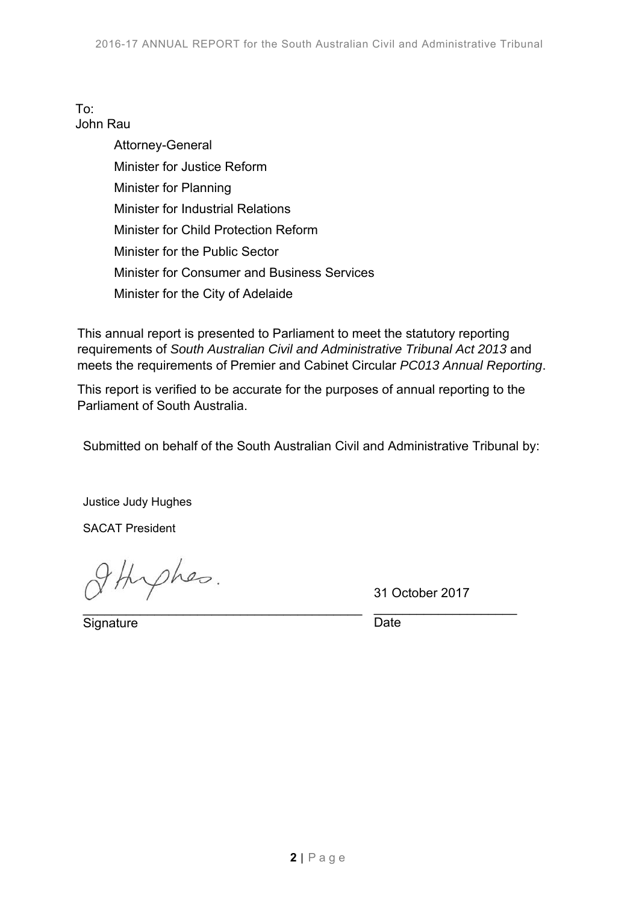#### To: John Rau

Attorney-General Minister for Justice Reform Minister for Planning Minister for Industrial Relations Minister for Child Protection Reform Minister for the Public Sector Minister for Consumer and Business Services Minister for the City of Adelaide

This annual report is presented to Parliament to meet the statutory reporting requirements of *South Australian Civil and Administrative Tribunal Act 2013* and meets the requirements of Premier and Cabinet Circular *PC013 Annual Reporting*.

This report is verified to be accurate for the purposes of annual reporting to the Parliament of South Australia.

Submitted on behalf of the South Australian Civil and Administrative Tribunal by:

Justice Judy Hughes

SACAT President

thepher.  $\mathcal{L}_\text{max}$  , and the set of the set of the set of the set of the set of the set of the set of the set of the set of the set of the set of the set of the set of the set of the set of the set of the set of the set of the

31 October 2017

\_\_\_\_\_\_\_\_\_\_\_\_\_\_\_\_\_\_\_\_

**Signature** 

**Date**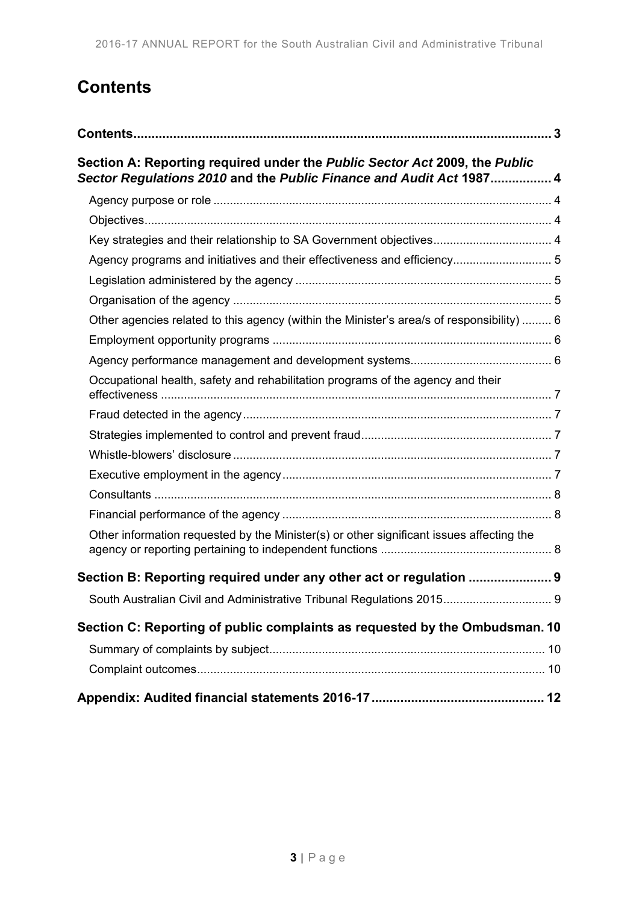# **Contents**

| Section A: Reporting required under the Public Sector Act 2009, the Public<br>Sector Regulations 2010 and the Public Finance and Audit Act 1987 4 |  |
|---------------------------------------------------------------------------------------------------------------------------------------------------|--|
|                                                                                                                                                   |  |
|                                                                                                                                                   |  |
| Key strategies and their relationship to SA Government objectives 4                                                                               |  |
| Agency programs and initiatives and their effectiveness and efficiency 5                                                                          |  |
|                                                                                                                                                   |  |
|                                                                                                                                                   |  |
| Other agencies related to this agency (within the Minister's area/s of responsibility)  6                                                         |  |
|                                                                                                                                                   |  |
|                                                                                                                                                   |  |
| Occupational health, safety and rehabilitation programs of the agency and their                                                                   |  |
|                                                                                                                                                   |  |
|                                                                                                                                                   |  |
|                                                                                                                                                   |  |
|                                                                                                                                                   |  |
|                                                                                                                                                   |  |
|                                                                                                                                                   |  |
| Other information requested by the Minister(s) or other significant issues affecting the                                                          |  |
| Section B: Reporting required under any other act or regulation  9                                                                                |  |
| South Australian Civil and Administrative Tribunal Regulations 2015 9                                                                             |  |
| Section C: Reporting of public complaints as requested by the Ombudsman. 10                                                                       |  |
|                                                                                                                                                   |  |
|                                                                                                                                                   |  |
|                                                                                                                                                   |  |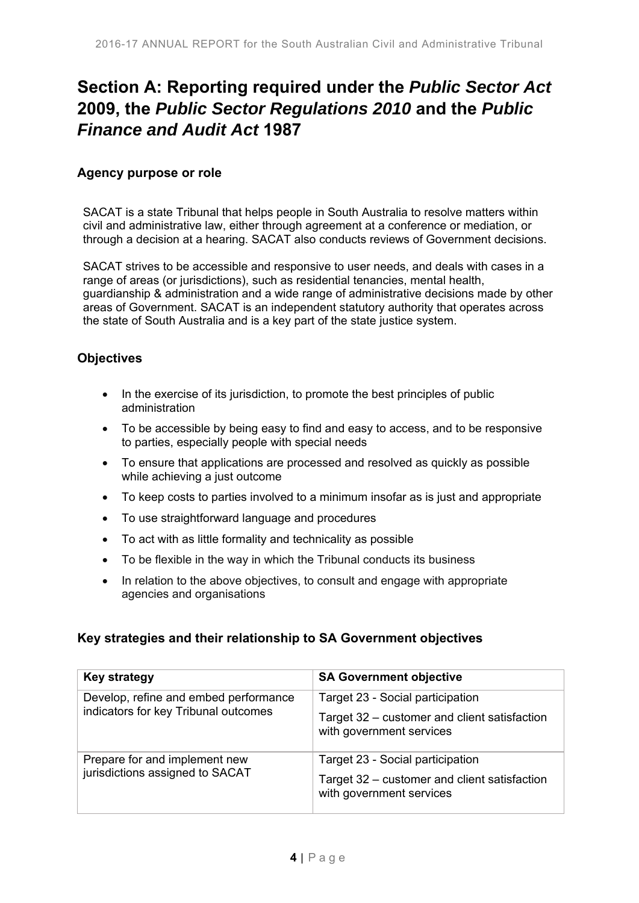# **Section A: Reporting required under the** *Public Sector Act* **2009, the** *Public Sector Regulations 2010* **and the** *Public Finance and Audit Act* **1987**

#### **Agency purpose or role**

SACAT is a state Tribunal that helps people in South Australia to resolve matters within civil and administrative law, either through agreement at a conference or mediation, or through a decision at a hearing. SACAT also conducts reviews of Government decisions.

SACAT strives to be accessible and responsive to user needs, and deals with cases in a range of areas (or jurisdictions), such as residential tenancies, mental health. guardianship & administration and a wide range of administrative decisions made by other areas of Government. SACAT is an independent statutory authority that operates across the state of South Australia and is a key part of the state justice system.

#### **Objectives**

- In the exercise of its jurisdiction, to promote the best principles of public administration
- To be accessible by being easy to find and easy to access, and to be responsive to parties, especially people with special needs
- To ensure that applications are processed and resolved as quickly as possible while achieving a just outcome
- To keep costs to parties involved to a minimum insofar as is just and appropriate
- To use straightforward language and procedures
- To act with as little formality and technicality as possible
- To be flexible in the way in which the Tribunal conducts its business
- In relation to the above objectives, to consult and engage with appropriate agencies and organisations

#### **Key strategies and their relationship to SA Government objectives**

| <b>Key strategy</b>                                                           | <b>SA Government objective</b>                                           |
|-------------------------------------------------------------------------------|--------------------------------------------------------------------------|
| Develop, refine and embed performance<br>indicators for key Tribunal outcomes | Target 23 - Social participation                                         |
|                                                                               | Target 32 – customer and client satisfaction<br>with government services |
| Prepare for and implement new<br>jurisdictions assigned to SACAT              | Target 23 - Social participation                                         |
|                                                                               | Target 32 – customer and client satisfaction<br>with government services |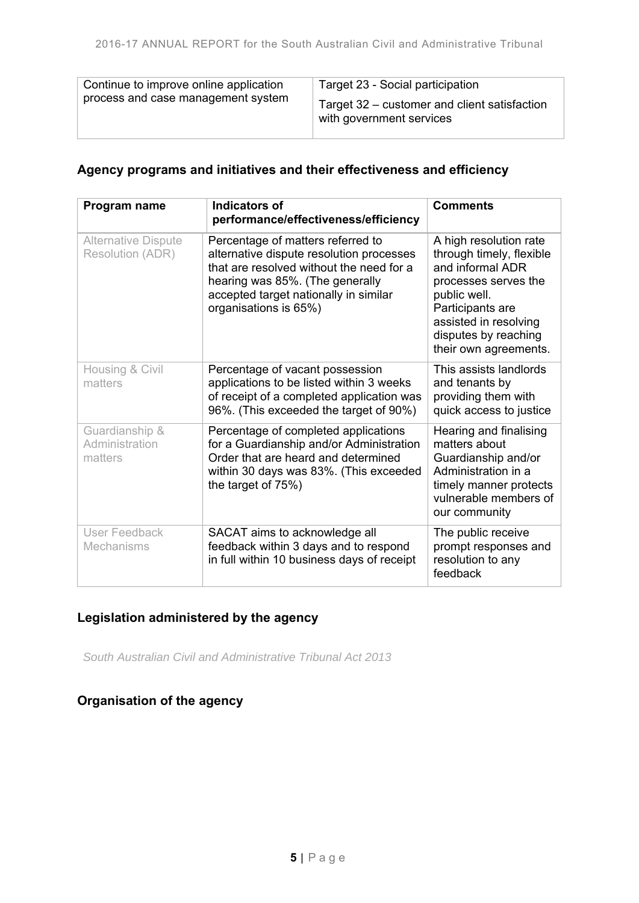| Continue to improve online application | Target 23 - Social participation                                         |
|----------------------------------------|--------------------------------------------------------------------------|
| process and case management system     | Target 32 – customer and client satisfaction<br>with government services |

### **Agency programs and initiatives and their effectiveness and efficiency**

| Program name                                          | <b>Indicators of</b><br>performance/effectiveness/efficiency                                                                                                                                                                   | <b>Comments</b>                                                                                                                                                                                              |
|-------------------------------------------------------|--------------------------------------------------------------------------------------------------------------------------------------------------------------------------------------------------------------------------------|--------------------------------------------------------------------------------------------------------------------------------------------------------------------------------------------------------------|
| <b>Alternative Dispute</b><br><b>Resolution (ADR)</b> | Percentage of matters referred to<br>alternative dispute resolution processes<br>that are resolved without the need for a<br>hearing was 85%. (The generally<br>accepted target nationally in similar<br>organisations is 65%) | A high resolution rate<br>through timely, flexible<br>and informal ADR<br>processes serves the<br>public well.<br>Participants are<br>assisted in resolving<br>disputes by reaching<br>their own agreements. |
| Housing & Civil<br>matters                            | Percentage of vacant possession<br>applications to be listed within 3 weeks<br>of receipt of a completed application was<br>96%. (This exceeded the target of 90%)                                                             | This assists landlords<br>and tenants by<br>providing them with<br>quick access to justice                                                                                                                   |
| Guardianship &<br>Administration<br>matters           | Percentage of completed applications<br>for a Guardianship and/or Administration<br>Order that are heard and determined<br>within 30 days was 83%. (This exceeded<br>the target of 75%)                                        | Hearing and finalising<br>matters about<br>Guardianship and/or<br>Administration in a<br>timely manner protects<br>vulnerable members of<br>our community                                                    |
| User Feedback<br><b>Mechanisms</b>                    | SACAT aims to acknowledge all<br>feedback within 3 days and to respond<br>in full within 10 business days of receipt                                                                                                           | The public receive<br>prompt responses and<br>resolution to any<br>feedback                                                                                                                                  |

### **Legislation administered by the agency**

*South Australian Civil and Administrative Tribunal Act 2013* 

## **Organisation of the agency**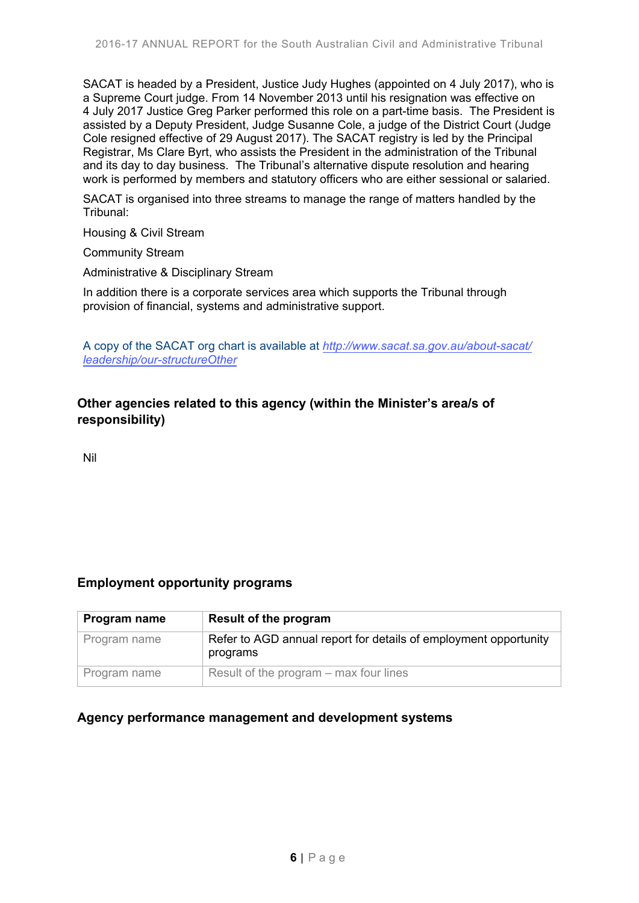SACAT is headed by a President, Justice Judy Hughes (appointed on 4 July 2017), who is a Supreme Court judge. From 14 November 2013 until his resignation was effective on 4 July 2017 Justice Greg Parker performed this role on a part-time basis. The President is assisted by a Deputy President, Judge Susanne Cole, a judge of the District Court (Judge Cole resigned effective of 29 August 2017). The SACAT registry is led by the Principal Registrar, Ms Clare Byrt, who assists the President in the administration of the Tribunal and its day to day business. The Tribunal's alternative dispute resolution and hearing work is performed by members and statutory officers who are either sessional or salaried.

SACAT is organised into three streams to manage the range of matters handled by the Tribunal:

Housing & Civil Stream

Community Stream

Administrative & Disciplinary Stream

In addition there is a corporate services area which supports the Tribunal through provision of financial, systems and administrative support.

A copy of the SACAT org chart is available at *[http://www.sacat.sa.gov.au/about-sacat/](http://www.sacat.sa.gov.au/about-sacat/leadership/our-structureOther) [leadership/our-structureOther](http://www.sacat.sa.gov.au/about-sacat/leadership/our-structureOther)*

#### **Other agencies related to this agency (within the Minister's area/s of responsibility)**

Nil

#### **Employment opportunity programs**

| Program name | Result of the program                                                        |
|--------------|------------------------------------------------------------------------------|
| Program name | Refer to AGD annual report for details of employment opportunity<br>programs |
| Program name | Result of the program – max four lines                                       |

#### **Agency performance management and development systems**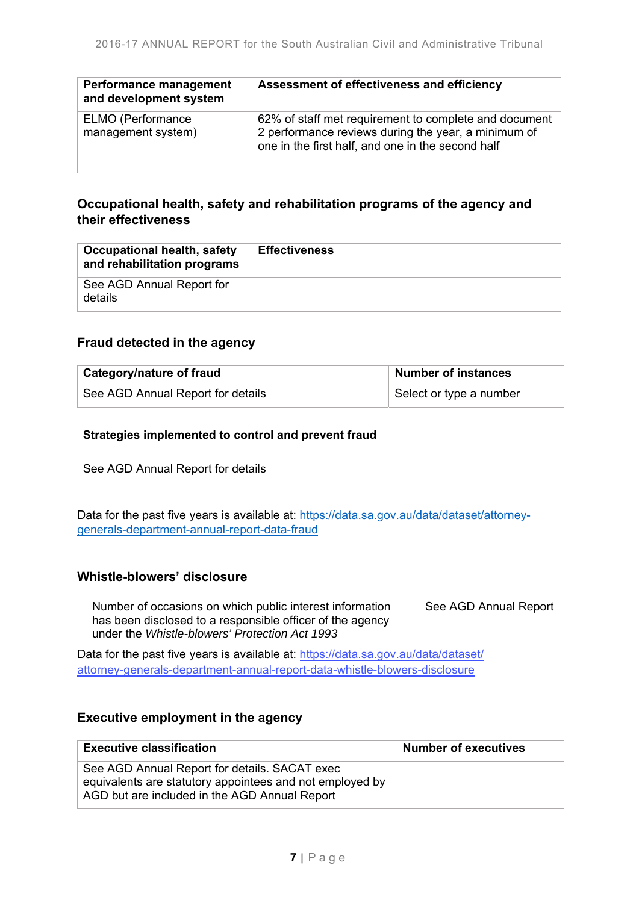| Performance management<br>and development system | Assessment of effectiveness and efficiency                                                                                                                        |
|--------------------------------------------------|-------------------------------------------------------------------------------------------------------------------------------------------------------------------|
| <b>ELMO</b> (Performance<br>management system)   | 62% of staff met requirement to complete and document<br>2 performance reviews during the year, a minimum of<br>one in the first half, and one in the second half |

### **Occupational health, safety and rehabilitation programs of the agency and their effectiveness**

| <b>Occupational health, safety</b><br>and rehabilitation programs | <b>Effectiveness</b> |
|-------------------------------------------------------------------|----------------------|
| See AGD Annual Report for<br>details                              |                      |

#### **Fraud detected in the agency**

| <b>Category/nature of fraud</b>   | <b>Number of instances</b> |
|-----------------------------------|----------------------------|
| See AGD Annual Report for details | Select or type a number    |

#### **Strategies implemented to control and prevent fraud**

See AGD Annual Report for details

Data for the past five years is available at: https://data.sa.gov.au/data/dataset/attorneygenerals-department-annual-report-data-fraud

#### **Whistle-blowers' disclosure**

Number of occasions on which public interest information has been disclosed to a responsible officer of the agency under the *Whistle-blowers' Protection Act 1993* See AGD Annual Report

Data for the past five years is available at: [https://data.sa.gov.au/data/dataset/](https://data.sa.gov.au/data/dataset/attorney-generals-department-annual-report-data-whistle-blowers-disclosure) [attorney-generals-department-annual-report-data-whistle-blowers-disclosure](https://data.sa.gov.au/data/dataset/attorney-generals-department-annual-report-data-whistle-blowers-disclosure)

#### **Executive employment in the agency**

| <b>Executive classification</b>                                                                                                                            | Number of executives |
|------------------------------------------------------------------------------------------------------------------------------------------------------------|----------------------|
| See AGD Annual Report for details. SACAT exec<br>equivalents are statutory appointees and not employed by<br>AGD but are included in the AGD Annual Report |                      |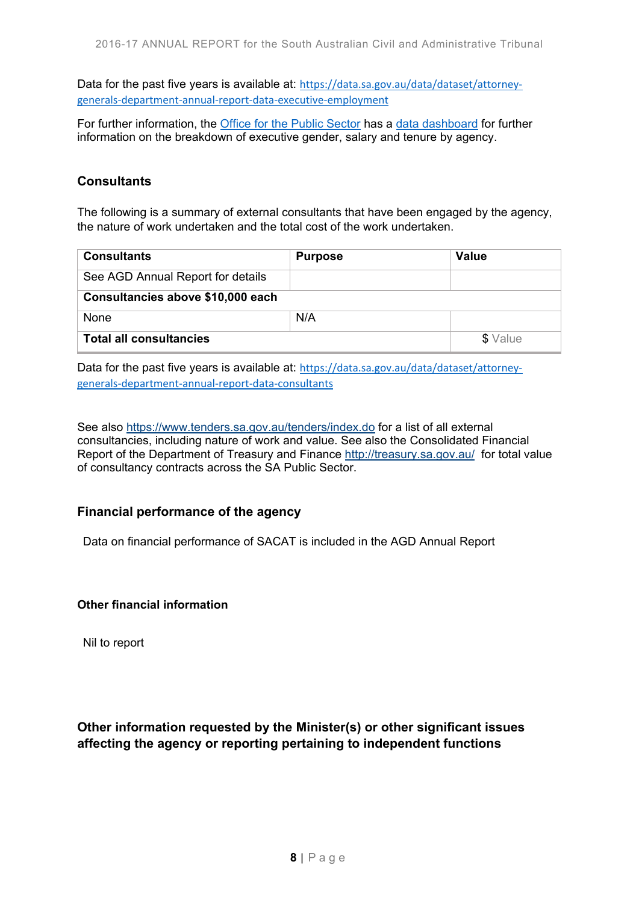Data for the past five years is available at: https://data.sa.gov.au/data/dataset/attorneygenerals‐department‐annual‐report‐data‐executive‐employment

For further information, the Office for the Public Sector has a data dashboard for further information on the breakdown of executive gender, salary and tenure by agency.

#### **Consultants**

The following is a summary of external consultants that have been engaged by the agency, the nature of work undertaken and the total cost of the work undertaken.

| <b>Consultants</b>                | <b>Purpose</b> | Value    |
|-----------------------------------|----------------|----------|
| See AGD Annual Report for details |                |          |
| Consultancies above \$10,000 each |                |          |
| None                              | N/A            |          |
| <b>Total all consultancies</b>    |                | \$ Value |

Data for the past five years is available at: https://data.sa.gov.au/data/dataset/attorneygenerals‐department‐annual‐report‐data‐consultants

See also https://www.tenders.sa.gov.au/tenders/index.do for a list of all external consultancies, including nature of work and value. See also the Consolidated Financial Report of the Department of Treasury and Finance http://treasury.sa.gov.au/ for total value of consultancy contracts across the SA Public Sector.

#### **Financial performance of the agency**

Data on financial performance of SACAT is included in the AGD Annual Report

#### **Other financial information**

Nil to report

**Other information requested by the Minister(s) or other significant issues affecting the agency or reporting pertaining to independent functions**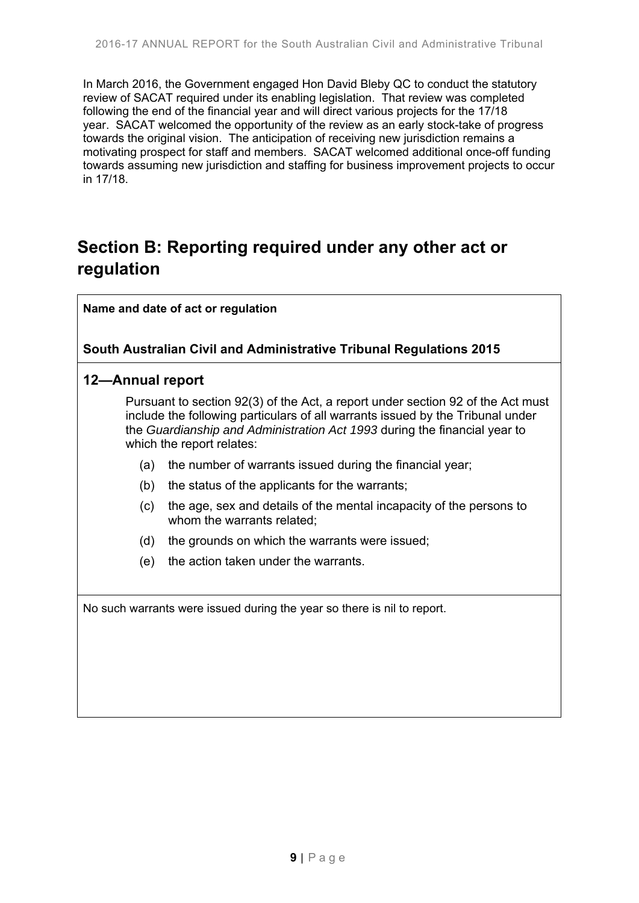In March 2016, the Government engaged Hon David Bleby QC to conduct the statutory review of SACAT required under its enabling legislation. That review was completed following the end of the financial year and will direct various projects for the 17/18 year. SACAT welcomed the opportunity of the review as an early stock-take of progress towards the original vision. The anticipation of receiving new jurisdiction remains a motivating prospect for staff and members. SACAT welcomed additional once-off funding towards assuming new jurisdiction and staffing for business improvement projects to occur in 17/18.

# **Section B: Reporting required under any other act or regulation**

**Name and date of act or regulation**

#### **South Australian Civil and Administrative Tribunal Regulations 2015**

#### **12—Annual report**

Pursuant to section 92(3) of the Act, a report under section 92 of the Act must include the following particulars of all warrants issued by the Tribunal under the *Guardianship and Administration Act 1993* during the financial year to which the report relates:

- (a) the number of warrants issued during the financial year;
- (b) the status of the applicants for the warrants;
- (c) the age, sex and details of the mental incapacity of the persons to whom the warrants related;
- (d) the grounds on which the warrants were issued;
- (e) the action taken under the warrants.

No such warrants were issued during the year so there is nil to report.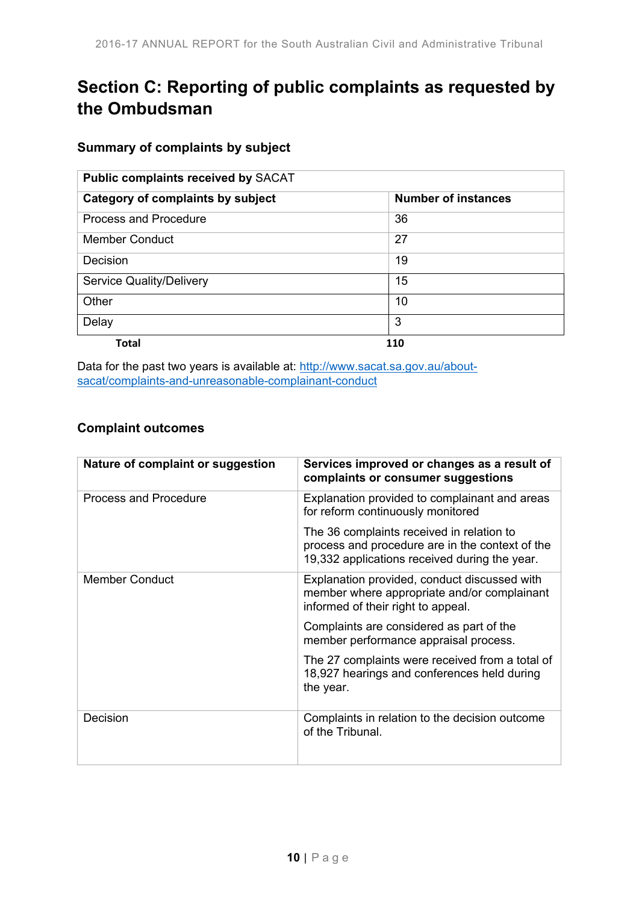# **Section C: Reporting of public complaints as requested by the Ombudsman**

### **Summary of complaints by subject**

| <b>Public complaints received by SACAT</b> |                            |  |
|--------------------------------------------|----------------------------|--|
| Category of complaints by subject          | <b>Number of instances</b> |  |
| <b>Process and Procedure</b>               | 36                         |  |
| <b>Member Conduct</b>                      | 27                         |  |
| Decision                                   | 19                         |  |
| <b>Service Quality/Delivery</b>            | 15                         |  |
| Other                                      | 10                         |  |
| Delay                                      | 3                          |  |
| Total                                      | 110                        |  |

Data for the past two years is available at: http://www.sacat.sa.gov.au/aboutsacat/complaints-and-unreasonable-complainant-conduct

### **Complaint outcomes**

| Nature of complaint or suggestion | Services improved or changes as a result of<br>complaints or consumer suggestions                                                             |
|-----------------------------------|-----------------------------------------------------------------------------------------------------------------------------------------------|
| Process and Procedure             | Explanation provided to complainant and areas<br>for reform continuously monitored                                                            |
|                                   | The 36 complaints received in relation to<br>process and procedure are in the context of the<br>19,332 applications received during the year. |
| <b>Member Conduct</b>             | Explanation provided, conduct discussed with<br>member where appropriate and/or complainant<br>informed of their right to appeal.             |
|                                   | Complaints are considered as part of the<br>member performance appraisal process.                                                             |
|                                   | The 27 complaints were received from a total of<br>18,927 hearings and conferences held during<br>the year.                                   |
| Decision                          | Complaints in relation to the decision outcome<br>of the Tribunal.                                                                            |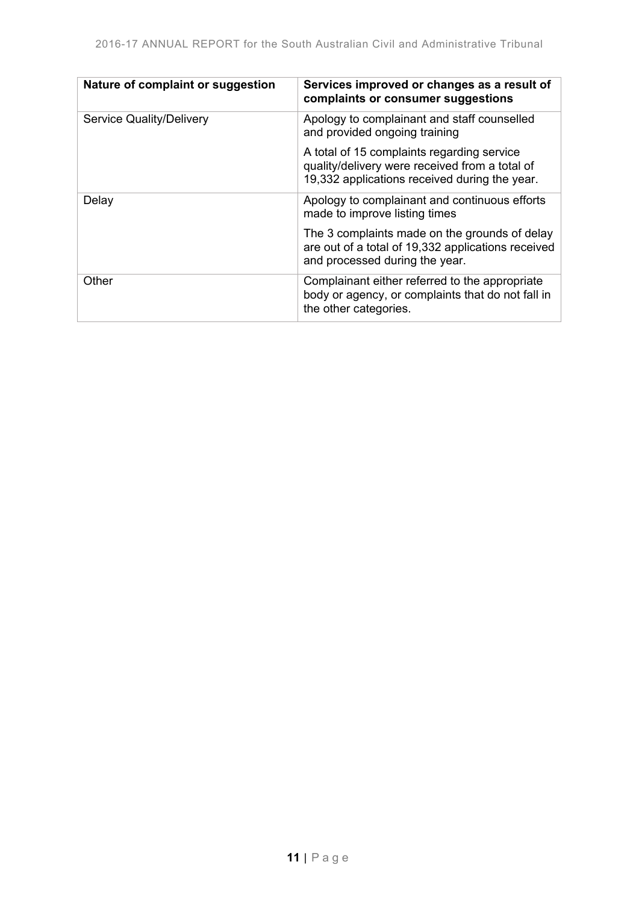| Nature of complaint or suggestion | Services improved or changes as a result of<br>complaints or consumer suggestions                                                             |
|-----------------------------------|-----------------------------------------------------------------------------------------------------------------------------------------------|
| <b>Service Quality/Delivery</b>   | Apology to complainant and staff counselled<br>and provided ongoing training                                                                  |
|                                   | A total of 15 complaints regarding service<br>quality/delivery were received from a total of<br>19,332 applications received during the year. |
| Delay                             | Apology to complainant and continuous efforts<br>made to improve listing times                                                                |
|                                   | The 3 complaints made on the grounds of delay<br>are out of a total of 19,332 applications received<br>and processed during the year.         |
| Other                             | Complainant either referred to the appropriate<br>body or agency, or complaints that do not fall in<br>the other categories.                  |